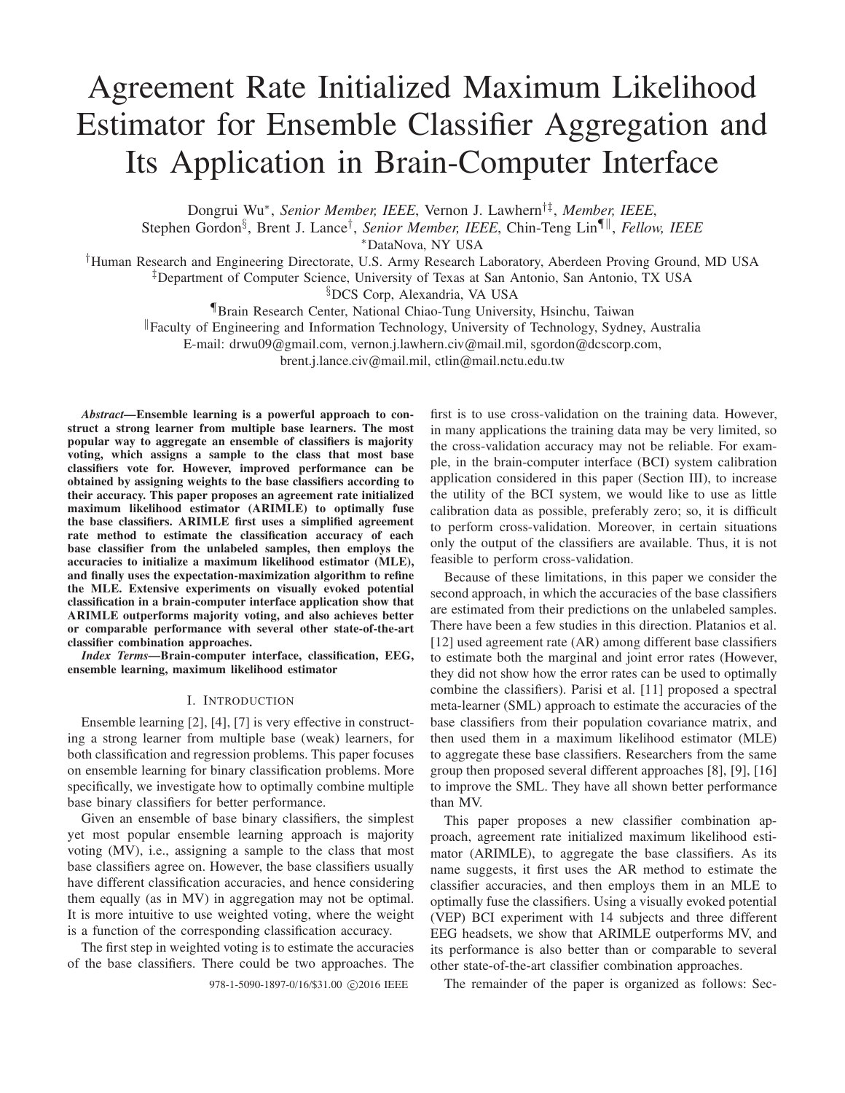# Agreement Rate Initialized Maximum Likelihood Estimator for Ensemble Classifier Aggregation and Its Application in Brain-Computer Interface

Dongrui Wu<sup>∗</sup> , *Senior Member, IEEE*, Vernon J. Lawhern†‡ , *Member, IEEE*,

Stephen Gordon<sup>§</sup>, Brent J. Lance<sup>†</sup>, *Senior Member, IEEE*, Chin-Teng Lin<sup>¶||</sup>, *Fellow, IEEE* 

<sup>∗</sup>DataNova, NY USA

†Human Research and Engineering Directorate, U.S. Army Research Laboratory, Aberdeen Proving Ground, MD USA

‡Department of Computer Science, University of Texas at San Antonio, San Antonio, TX USA

§DCS Corp, Alexandria, VA USA

¶Brain Research Center, National Chiao-Tung University, Hsinchu, Taiwan

Faculty of Engineering and Information Technology, University of Technology, Sydney, Australia

E-mail: drwu09@gmail.com, vernon.j.lawhern.civ@mail.mil, sgordon@dcscorp.com,

brent.j.lance.civ@mail.mil, ctlin@mail.nctu.edu.tw

*Abstract***—Ensemble learning is a powerful approach to construct a strong learner from multiple base learners. The most popular way to aggregate an ensemble of classifiers is majority voting, which assigns a sample to the class that most base classifiers vote for. However, improved performance can be obtained by assigning weights to the base classifiers according to their accuracy. This paper proposes an agreement rate initialized maximum likelihood estimator (ARIMLE) to optimally fuse the base classifiers. ARIMLE first uses a simplified agreement rate method to estimate the classification accuracy of each base classifier from the unlabeled samples, then employs the accuracies to initialize a maximum likelihood estimator (MLE), and finally uses the expectation-maximization algorithm to refine the MLE. Extensive experiments on visually evoked potential classification in a brain-computer interface application show that ARIMLE outperforms majority voting, and also achieves better or comparable performance with several other state-of-the-art classifier combination approaches.**

*Index Terms***—Brain-computer interface, classification, EEG, ensemble learning, maximum likelihood estimator**

## I. INTRODUCTION

Ensemble learning [2], [4], [7] is very effective in constructing a strong learner from multiple base (weak) learners, for both classification and regression problems. This paper focuses on ensemble learning for binary classification problems. More specifically, we investigate how to optimally combine multiple base binary classifiers for better performance.

Given an ensemble of base binary classifiers, the simplest yet most popular ensemble learning approach is majority voting (MV), i.e., assigning a sample to the class that most base classifiers agree on. However, the base classifiers usually have different classification accuracies, and hence considering them equally (as in MV) in aggregation may not be optimal. It is more intuitive to use weighted voting, where the weight is a function of the corresponding classification accuracy.

The first step in weighted voting is to estimate the accuracies of the base classifiers. There could be two approaches. The

first is to use cross-validation on the training data. However, in many applications the training data may be very limited, so the cross-validation accuracy may not be reliable. For example, in the brain-computer interface (BCI) system calibration application considered in this paper (Section III), to increase the utility of the BCI system, we would like to use as little calibration data as possible, preferably zero; so, it is difficult to perform cross-validation. Moreover, in certain situations only the output of the classifiers are available. Thus, it is not feasible to perform cross-validation.

Because of these limitations, in this paper we consider the second approach, in which the accuracies of the base classifiers are estimated from their predictions on the unlabeled samples. There have been a few studies in this direction. Platanios et al. [12] used agreement rate (AR) among different base classifiers to estimate both the marginal and joint error rates (However, they did not show how the error rates can be used to optimally combine the classifiers). Parisi et al. [11] proposed a spectral meta-learner (SML) approach to estimate the accuracies of the base classifiers from their population covariance matrix, and then used them in a maximum likelihood estimator (MLE) to aggregate these base classifiers. Researchers from the same group then proposed several different approaches [8], [9], [16] to improve the SML. They have all shown better performance than MV.

This paper proposes a new classifier combination approach, agreement rate initialized maximum likelihood estimator (ARIMLE), to aggregate the base classifiers. As its name suggests, it first uses the AR method to estimate the classifier accuracies, and then employs them in an MLE to optimally fuse the classifiers. Using a visually evoked potential (VEP) BCI experiment with 14 subjects and three different EEG headsets, we show that ARIMLE outperforms MV, and its performance is also better than or comparable to several other state-of-the-art classifier combination approaches.

978-1-5090-1897-0/16/\$31.00  $\odot$ 2016 IEEE The remainder of the paper is organized as follows: Sec-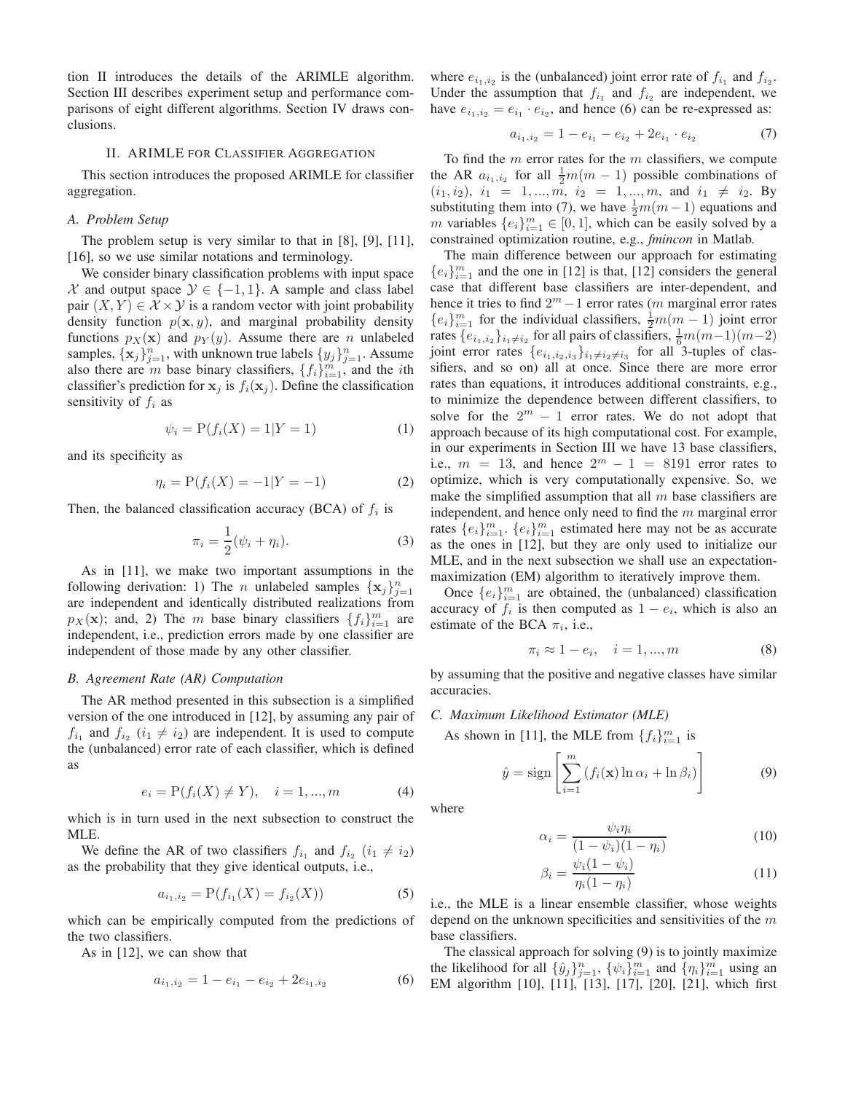tion II introduces the details of the ARIMLE algorithm. Section III describes experiment setup and performance comparisons of eight different algorithms. Section IV draws conclusions.

## II. ARIMLE FOR CLASSIFIER AGGREGATION

This section introduces the proposed ARIMLE for classifier aggregation.

## *A. Problem Setup*

The problem setup is very similar to that in [8], [9], [11], [16], so we use similar notations and terminology.

We consider binary classification problems with input space X and output space  $\mathcal{Y} \in \{-1, 1\}$ . A sample and class label pair  $(X, Y) \in \mathcal{X} \times \mathcal{Y}$  is a random vector with joint probability density function  $p(x, y)$ , and marginal probability density functions  $p_X(\mathbf{x})$  and  $p_Y(y)$ . Assume there are n unlabeled samples,  $\{x_j\}_{j=1}^n$ , with unknown true labels  $\{y_j\}_{j=1}^n$ . Assume also there are m base binary classifiers,  $\{f_i\}_{i=1}^m$ , and the *i*th classifier's prediction for  $x_j$  is  $f_i(x_j)$ . Define the classification sensitivity of  $f_i$  as

$$
\psi_i = P(f_i(X) = 1|Y = 1)
$$
 (1)

and its specificity as

$$
\eta_i = P(f_i(X) = -1|Y = -1)
$$
 (2)

Then, the balanced classification accuracy (BCA) of  $f_i$  is

$$
\pi_i = \frac{1}{2}(\psi_i + \eta_i). \tag{3}
$$

As in [11], we make two important assumptions in the following derivation: 1) The *n* unlabeled samples  $\{x_j\}_{j=1}^n$ are independent and identically distributed realizations from  $p_X(\mathbf{x})$ ; and, 2) The m base binary classifiers  $\{f_i\}_{i=1}^m$  are independent, i.e., prediction errors made by one classifier are independent of those made by any other classifier.

#### *B. Agreement Rate (AR) Computation*

The AR method presented in this subsection is a simplified version of the one introduced in [12], by assuming any pair of  $f_{i_1}$  and  $f_{i_2}$  ( $i_1 \neq i_2$ ) are independent. It is used to compute the (unbalanced) error rate of each classifier, which is defined as

$$
e_i = P(f_i(X) \neq Y), \quad i = 1, ..., m
$$
 (4)

which is in turn used in the next subsection to construct the MLE.

We define the AR of two classifiers  $f_{i_1}$  and  $f_{i_2}$   $(i_1 \neq i_2)$ as the probability that they give identical outputs, i.e.,

$$
a_{i_1, i_2} = P(f_{i_1}(X) = f_{i_2}(X))
$$
\n(5)

which can be empirically computed from the predictions of the two classifiers.

As in [12], we can show that

$$
a_{i_1,i_2} = 1 - e_{i_1} - e_{i_2} + 2e_{i_1,i_2} \tag{6}
$$

where  $e_{i_1,i_2}$  is the (unbalanced) joint error rate of  $f_{i_1}$  and  $f_{i_2}$ . Under the assumption that  $f_{i_1}$  and  $f_{i_2}$  are independent, we have  $e_{i_1,i_2} = e_{i_1} \cdot e_{i_2}$ , and hence (6) can be re-expressed as:

$$
a_{i_1,i_2} = 1 - e_{i_1} - e_{i_2} + 2e_{i_1} \cdot e_{i_2} \tag{7}
$$

To find the  $m$  error rates for the  $m$  classifiers, we compute the AR  $a_{i_1,i_2}$  for all  $\frac{1}{2}m(m-1)$  possible combinations of  $(i_1, i_2), i_1 = 1, ..., m, i_2 = 1, ..., m, \text{ and } i_1 \neq i_2.$  By substituting them into (7), we have  $\frac{1}{2}m(m-1)$  equations and m variables  $\{e_i\}_{i=1}^m \in [0, 1]$ , which can be easily solved by a constrained optimization routine, e.g., *fmincon* in Matlab.

The main difference between our approach for estimating  ${e_i}_{i=1}^m$  and the one in [12] is that, [12] considers the general case that different base classifiers are inter-dependent, and hence it tries to find  $2^m - 1$  error rates (*m* marginal error rates  ${e_i}_{i=1}^m$  for the individual classifiers,  $\frac{1}{2}m(m-1)$  joint error rates  $\{e_{i_1,i_2}\}_{i_1\neq i_2}$  for all pairs of classifiers,  $\frac{1}{6}m(m-1)(m-2)$ joint error rates  $\{e_{i_1,i_2,i_3}\}_{i_1\neq i_2\neq i_3}$  for all 3-tuples of classifiers, and so on) all at once. Since there are more error rates than equations, it introduces additional constraints, e.g., to minimize the dependence between different classifiers, to solve for the  $2^m - 1$  error rates. We do not adopt that approach because of its high computational cost. For example, in our experiments in Section III we have 13 base classifiers, i.e.,  $m = 13$ , and hence  $2^m - 1 = 8191$  error rates to optimize, which is very computationally expensive. So, we make the simplified assumption that all  $m$  base classifiers are independent, and hence only need to find the  $m$  marginal error rates  $\{e_i\}_{i=1}^m$ .  $\{e_i\}_{i=1}^m$  estimated here may not be as accurate as the ones in [12], but they are only used to initialize our MLE, and in the next subsection we shall use an expectationmaximization (EM) algorithm to iteratively improve them.

Once  $\{e_i\}_{i=1}^m$  are obtained, the (unbalanced) classification accuracy of  $f_i$  is then computed as  $1 - e_i$ , which is also an estimate of the BCA  $\pi_i$ , i.e.,

$$
\pi_i \approx 1 - e_i, \quad i = 1, \dots, m \tag{8}
$$

by assuming that the positive and negative classes have similar accuracies.

### *C. Maximum Likelihood Estimator (MLE)*

As shown in [11], the MLE from  $\{f_i\}_{i=1}^m$  is

$$
\hat{y} = \text{sign}\left[\sum_{i=1}^{m} \left(f_i(\mathbf{x}) \ln \alpha_i + \ln \beta_i\right)\right]
$$
\n(9)

where

$$
\alpha_i = \frac{\psi_i \eta_i}{(1 - \psi_i)(1 - \eta_i)}\tag{10}
$$

$$
\beta_i = \frac{\psi_i (1 - \psi_i)}{\eta_i (1 - \eta_i)}\tag{11}
$$

i.e., the MLE is a linear ensemble classifier, whose weights depend on the unknown specificities and sensitivities of the  $m$ base classifiers.

The classical approach for solving (9) is to jointly maximize the likelihood for all  $\{\hat{y}_j\}_{j=1}^n$ ,  $\{\psi_i\}_{i=1}^m$  and  $\{\eta_i\}_{i=1}^m$  using an EM algorithm [10], [11], [13], [17], [20], [21], which first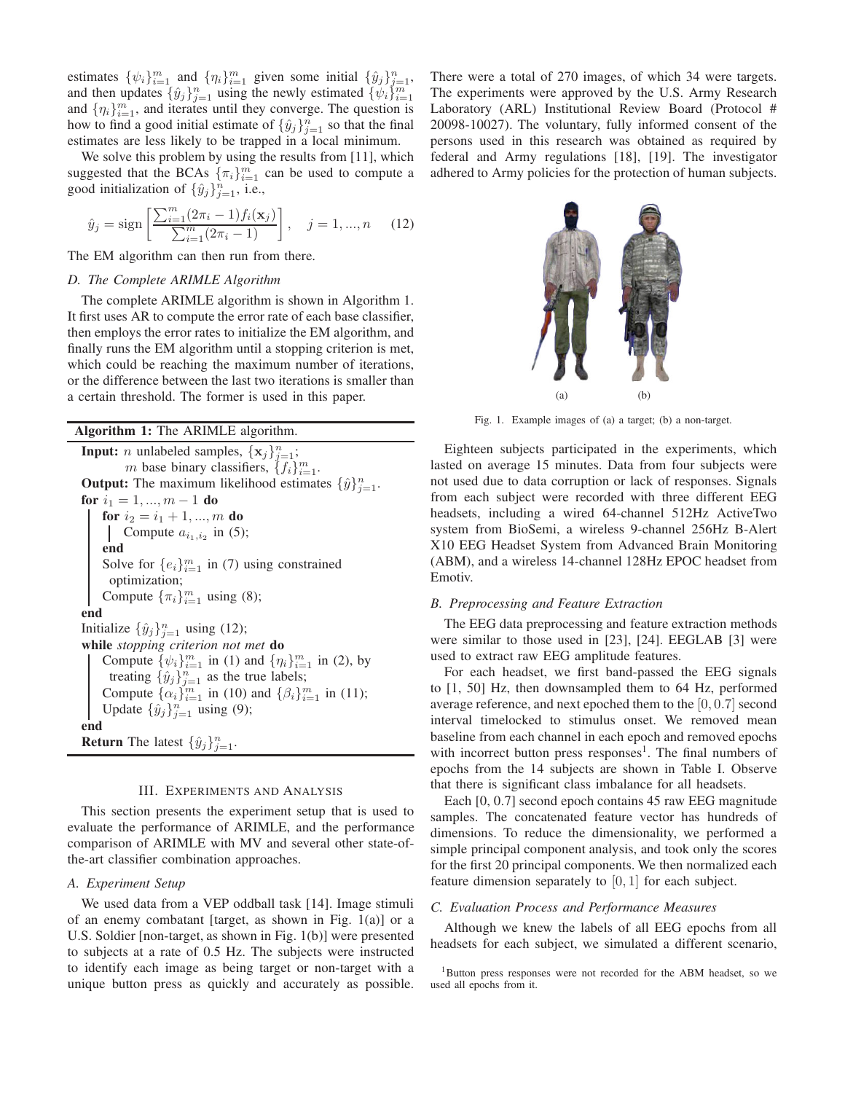estimates  $\{\psi_i\}_{i=1}^m$  and  $\{\eta_i\}_{i=1}^m$  given some initial  $\{\hat{y}_j\}_{j=1}^n$ , and then updates  $\{\hat{y}_j\}_{j=1}^n$  using the newly estimated  $\{\hat{\psi}_i\}_{i=1}^m$ and  $\{\eta_i\}_{i=1}^m$ , and iterates until they converge. The question is how to find a good initial estimate of  $\{\hat{y}_j\}_{j=1}^n$  so that the final estimates are less likely to be trapped in a local minimum.

We solve this problem by using the results from [11], which suggested that the BCAs  $\{\pi_i\}_{i=1}^m$  can be used to compute a good initialization of  $\{\hat{y}_j\}_{j=1}^n$ , i.e.,

$$
\hat{y}_j = \text{sign}\left[\frac{\sum_{i=1}^m (2\pi_i - 1) f_i(\mathbf{x}_j)}{\sum_{i=1}^m (2\pi_i - 1)}\right], \quad j = 1, ..., n \quad (12)
$$

The EM algorithm can then run from there.

## *D. The Complete ARIMLE Algorithm*

The complete ARIMLE algorithm is shown in Algorithm 1. It first uses AR to compute the error rate of each base classifier, then employs the error rates to initialize the EM algorithm, and finally runs the EM algorithm until a stopping criterion is met, which could be reaching the maximum number of iterations, or the difference between the last two iterations is smaller than a certain threshold. The former is used in this paper.

## **Algorithm 1:** The ARIMLE algorithm.

**Input:** *n* unlabeled samples,  $\{x_j\}_{j=1}^n$ ; m base binary classifiers,  $\{f_i\}_{i=1}^m$ . **Output:** The maximum likelihood estimates  $\{\hat{y}\}_{j=1}^n$ . **for**  $i_1 = 1, ..., m - 1$  **do for**  $i_2 = i_1 + 1, ..., m$  **do** Compute  $a_{i_1,i_2}$  in (5); **end** Solve for  $\{e_i\}_{i=1}^m$  in (7) using constrained optimization; Compute  $\{\pi_i\}_{i=1}^m$  using (8); **end** Initialize  $\{\hat{y}_j\}_{j=1}^n$  using (12); **while** *stopping criterion not met* **do** Compute  $\{\psi_i\}_{i=1}^m$  in (1) and  $\{\eta_i\}_{i=1}^m$  in (2), by treating  $\{\hat{y}_j\}_{j=1}^n$  as the true labels; Compute  $\{\alpha_i\}_{i=1}^m$  in (10) and  $\{\beta_i\}_{i=1}^m$  in (11); Update  $\{\hat{y}_j\}_{j=1}^n$  using (9); **end Return** The latest  $\{\hat{y}_j\}_{j=1}^n$ .

## III. EXPERIMENTS AND ANALYSIS

This section presents the experiment setup that is used to evaluate the performance of ARIMLE, and the performance comparison of ARIMLE with MV and several other state-ofthe-art classifier combination approaches.

## *A. Experiment Setup*

We used data from a VEP oddball task [14]. Image stimuli of an enemy combatant [target, as shown in Fig. 1(a)] or a U.S. Soldier [non-target, as shown in Fig. 1(b)] were presented to subjects at a rate of 0.5 Hz. The subjects were instructed to identify each image as being target or non-target with a unique button press as quickly and accurately as possible.

There were a total of 270 images, of which 34 were targets. The experiments were approved by the U.S. Army Research Laboratory (ARL) Institutional Review Board (Protocol # 20098-10027). The voluntary, fully informed consent of the persons used in this research was obtained as required by federal and Army regulations [18], [19]. The investigator adhered to Army policies for the protection of human subjects.



Fig. 1. Example images of (a) a target; (b) a non-target.

Eighteen subjects participated in the experiments, which lasted on average 15 minutes. Data from four subjects were not used due to data corruption or lack of responses. Signals from each subject were recorded with three different EEG headsets, including a wired 64-channel 512Hz ActiveTwo system from BioSemi, a wireless 9-channel 256Hz B-Alert X10 EEG Headset System from Advanced Brain Monitoring (ABM), and a wireless 14-channel 128Hz EPOC headset from Emotiv.

#### *B. Preprocessing and Feature Extraction*

The EEG data preprocessing and feature extraction methods were similar to those used in [23], [24]. EEGLAB [3] were used to extract raw EEG amplitude features.

For each headset, we first band-passed the EEG signals to [1, 50] Hz, then downsampled them to 64 Hz, performed average reference, and next epoched them to the [0, 0.7] second interval timelocked to stimulus onset. We removed mean baseline from each channel in each epoch and removed epochs with incorrect button press responses<sup>1</sup>. The final numbers of epochs from the 14 subjects are shown in Table I. Observe that there is significant class imbalance for all headsets.

Each [0, 0.7] second epoch contains 45 raw EEG magnitude samples. The concatenated feature vector has hundreds of dimensions. To reduce the dimensionality, we performed a simple principal component analysis, and took only the scores for the first 20 principal components. We then normalized each feature dimension separately to  $[0, 1]$  for each subject.

#### *C. Evaluation Process and Performance Measures*

Although we knew the labels of all EEG epochs from all headsets for each subject, we simulated a different scenario,

<sup>&</sup>lt;sup>1</sup>Button press responses were not recorded for the ABM headset, so we used all epochs from it.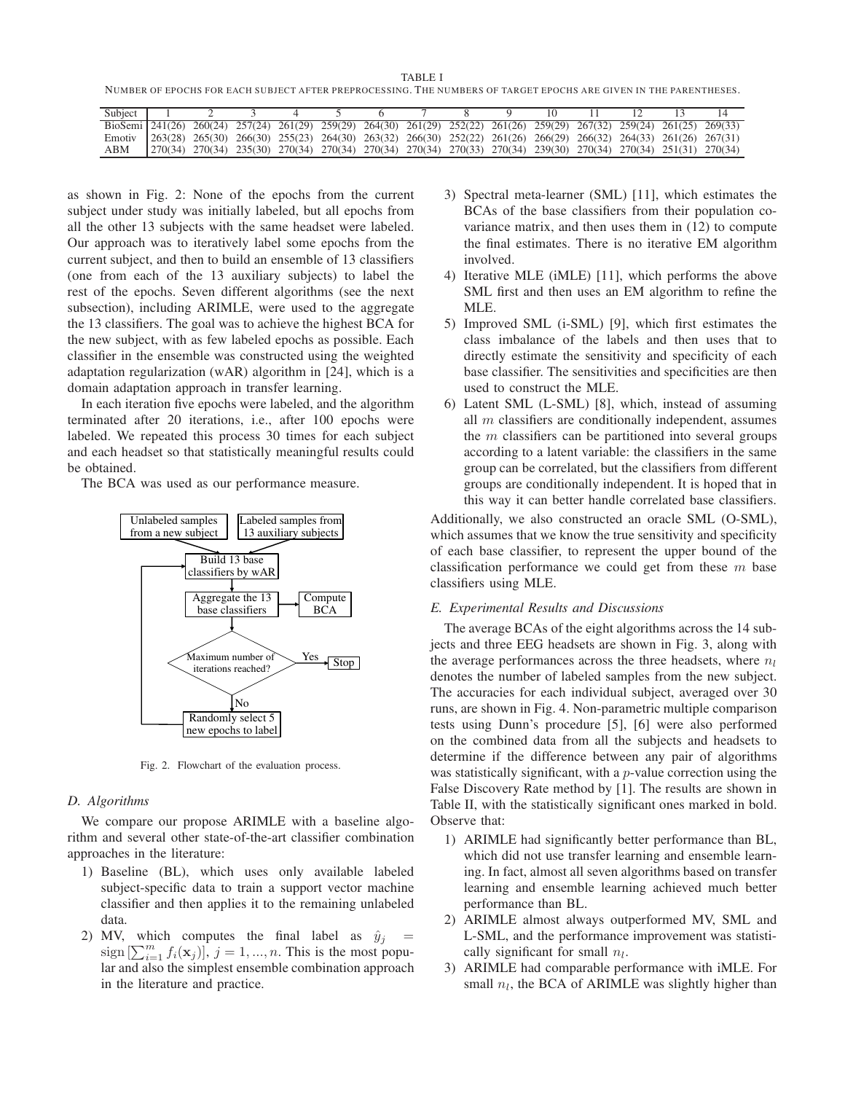TABLE I

NUMBER OF EPOCHS FOR EACH SUBJECT AFTER PREPROCESSING. THE NUMBERS OF TARGET EPOCHS ARE GIVEN IN THE PARENTHESES.

| Subject 1                                                                                                               |                                                                                                                        |  |  |  |  |  |  |
|-------------------------------------------------------------------------------------------------------------------------|------------------------------------------------------------------------------------------------------------------------|--|--|--|--|--|--|
| BioSemi 241(26) 260(24) 257(24) 261(29) 259(29) 264(30) 261(29) 252(22) 261(26) 259(29) 267(32) 259(24) 261(25) 269(33) |                                                                                                                        |  |  |  |  |  |  |
| Emotiv 263(28) 265(30) 266(30) 255(23) 264(30) 263(32) 266(30) 252(22) 261(26) 266(29) 266(32) 264(33) 261(26) 267(31)  |                                                                                                                        |  |  |  |  |  |  |
| ABM                                                                                                                     | $\mid$ 270(34) 270(34) 235(30) 270(34) 270(34) 270(34) 270(34) 270(33) 270(34) 239(30) 270(34) 270(34) 251(31) 270(34) |  |  |  |  |  |  |

as shown in Fig. 2: None of the epochs from the current subject under study was initially labeled, but all epochs from all the other 13 subjects with the same headset were labeled. Our approach was to iteratively label some epochs from the current subject, and then to build an ensemble of 13 classifiers (one from each of the 13 auxiliary subjects) to label the rest of the epochs. Seven different algorithms (see the next subsection), including ARIMLE, were used to the aggregate the 13 classifiers. The goal was to achieve the highest BCA for the new subject, with as few labeled epochs as possible. Each classifier in the ensemble was constructed using the weighted adaptation regularization (wAR) algorithm in [24], which is a domain adaptation approach in transfer learning.

In each iteration five epochs were labeled, and the algorithm terminated after 20 iterations, i.e., after 100 epochs were labeled. We repeated this process 30 times for each subject and each headset so that statistically meaningful results could be obtained.

The BCA was used as our performance measure.



Fig. 2. Flowchart of the evaluation process.

# *D. Algorithms*

We compare our propose ARIMLE with a baseline algorithm and several other state-of-the-art classifier combination approaches in the literature:

- 1) Baseline (BL), which uses only available labeled subject-specific data to train a support vector machine classifier and then applies it to the remaining unlabeled data.
- 2) MV, which computes the final label as  $\hat{y}_j =$  $sign\left[\sum_{i=1}^{m} f_i(\mathbf{x}_j)\right], j = 1, ..., n$ . This is the most popular and also the simplest ensemble combination approach in the literature and practice.
- 3) Spectral meta-learner (SML) [11], which estimates the BCAs of the base classifiers from their population covariance matrix, and then uses them in (12) to compute the final estimates. There is no iterative EM algorithm involved.
- 4) Iterative MLE (iMLE) [11], which performs the above SML first and then uses an EM algorithm to refine the MLE.
- 5) Improved SML (i-SML) [9], which first estimates the class imbalance of the labels and then uses that to directly estimate the sensitivity and specificity of each base classifier. The sensitivities and specificities are then used to construct the MLE.
- 6) Latent SML (L-SML) [8], which, instead of assuming all  $m$  classifiers are conditionally independent, assumes the  $m$  classifiers can be partitioned into several groups according to a latent variable: the classifiers in the same group can be correlated, but the classifiers from different groups are conditionally independent. It is hoped that in this way it can better handle correlated base classifiers.

Additionally, we also constructed an oracle SML (O-SML), which assumes that we know the true sensitivity and specificity of each base classifier, to represent the upper bound of the classification performance we could get from these  $m$  base classifiers using MLE.

# *E. Experimental Results and Discussions*

The average BCAs of the eight algorithms across the 14 subjects and three EEG headsets are shown in Fig. 3, along with the average performances across the three headsets, where  $n_l$ denotes the number of labeled samples from the new subject. The accuracies for each individual subject, averaged over 30 runs, are shown in Fig. 4. Non-parametric multiple comparison tests using Dunn's procedure [5], [6] were also performed on the combined data from all the subjects and headsets to determine if the difference between any pair of algorithms was statistically significant, with a *p*-value correction using the False Discovery Rate method by [1]. The results are shown in Table II, with the statistically significant ones marked in bold. Observe that:

- 1) ARIMLE had significantly better performance than BL, which did not use transfer learning and ensemble learning. In fact, almost all seven algorithms based on transfer learning and ensemble learning achieved much better performance than BL.
- 2) ARIMLE almost always outperformed MV, SML and L-SML, and the performance improvement was statistically significant for small  $n_l$ .
- 3) ARIMLE had comparable performance with iMLE. For small  $n_l$ , the BCA of ARIMLE was slightly higher than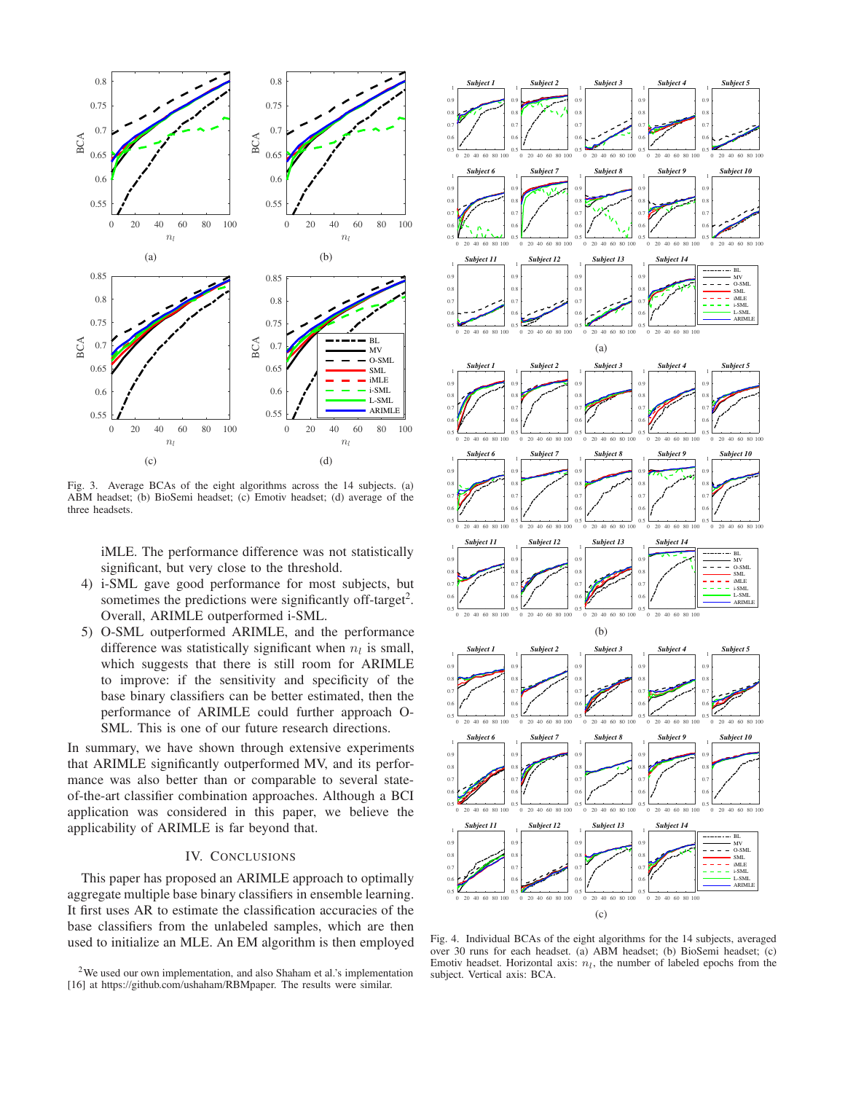

Fig. 3. Average BCAs of the eight algorithms across the 14 subjects. (a) ABM headset; (b) BioSemi headset; (c) Emotiv headset; (d) average of the three headsets.

iMLE. The performance difference was not statistically significant, but very close to the threshold.

- 4) i-SML gave good performance for most subjects, but sometimes the predictions were significantly off-target<sup>2</sup>. Overall, ARIMLE outperformed i-SML.
- 5) O-SML outperformed ARIMLE, and the performance difference was statistically significant when  $n_l$  is small, which suggests that there is still room for ARIMLE to improve: if the sensitivity and specificity of the base binary classifiers can be better estimated, then the performance of ARIMLE could further approach O-SML. This is one of our future research directions.

In summary, we have shown through extensive experiments that ARIMLE significantly outperformed MV, and its performance was also better than or comparable to several stateof-the-art classifier combination approaches. Although a BCI application was considered in this paper, we believe the applicability of ARIMLE is far beyond that.

# IV. CONCLUSIONS

This paper has proposed an ARIMLE approach to optimally aggregate multiple base binary classifiers in ensemble learning. It first uses AR to estimate the classification accuracies of the base classifiers from the unlabeled samples, which are then used to initialize an MLE. An EM algorithm is then employed

<sup>2</sup>We used our own implementation, and also Shaham et al.'s implementation [16] at https://github.com/ushaham/RBMpaper. The results were similar.



Fig. 4. Individual BCAs of the eight algorithms for the 14 subjects, averaged over 30 runs for each headset. (a) ABM headset; (b) BioSemi headset; (c) Emotiv headset. Horizontal axis:  $n_l$ , the number of labeled epochs from the subject. Vertical axis: BCA.